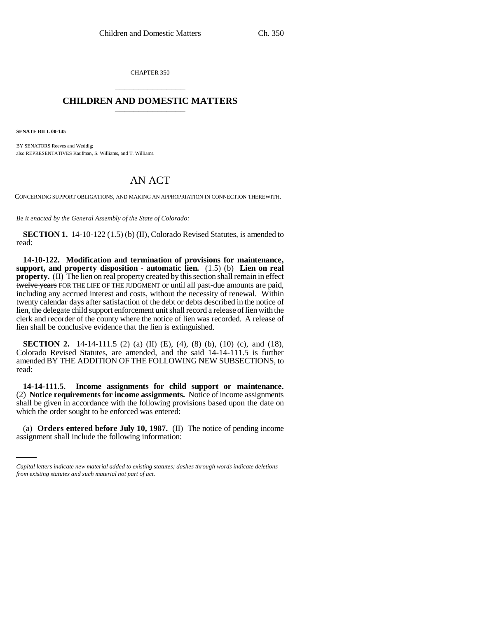CHAPTER 350 \_\_\_\_\_\_\_\_\_\_\_\_\_\_\_

# **CHILDREN AND DOMESTIC MATTERS** \_\_\_\_\_\_\_\_\_\_\_\_\_\_\_

**SENATE BILL 00-145** 

BY SENATORS Reeves and Weddig; also REPRESENTATIVES Kaufman, S. Williams, and T. Williams.

# AN ACT

CONCERNING SUPPORT OBLIGATIONS, AND MAKING AN APPROPRIATION IN CONNECTION THEREWITH.

*Be it enacted by the General Assembly of the State of Colorado:*

**SECTION 1.** 14-10-122 (1.5) (b) (II), Colorado Revised Statutes, is amended to read:

**14-10-122. Modification and termination of provisions for maintenance, support, and property disposition - automatic lien.** (1.5) (b) **Lien on real property.** (II) The lien on real property created by this section shall remain in effect twelve years FOR THE LIFE OF THE JUDGMENT or until all past-due amounts are paid, including any accrued interest and costs, without the necessity of renewal. Within twenty calendar days after satisfaction of the debt or debts described in the notice of lien, the delegate child support enforcement unit shall record a release of lien with the clerk and recorder of the county where the notice of lien was recorded. A release of lien shall be conclusive evidence that the lien is extinguished.

**SECTION 2.** 14-14-111.5 (2) (a) (II) (E), (4), (8) (b), (10) (c), and (18), Colorado Revised Statutes, are amended, and the said 14-14-111.5 is further amended BY THE ADDITION OF THE FOLLOWING NEW SUBSECTIONS, to read:

which the order sought to be enforced was entered: **14-14-111.5. Income assignments for child support or maintenance.** (2) **Notice requirements for income assignments.** Notice of income assignments shall be given in accordance with the following provisions based upon the date on

(a) **Orders entered before July 10, 1987.** (II) The notice of pending income assignment shall include the following information:

*Capital letters indicate new material added to existing statutes; dashes through words indicate deletions from existing statutes and such material not part of act.*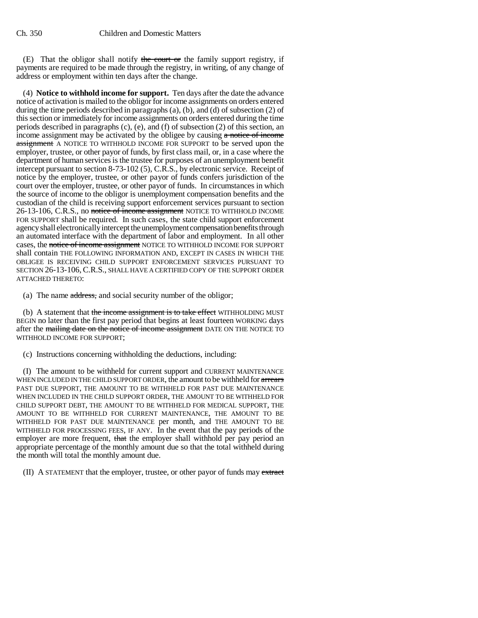(E) That the obligor shall notify the court or the family support registry, if payments are required to be made through the registry, in writing, of any change of address or employment within ten days after the change.

(4) **Notice to withhold income for support.** Ten days after the date the advance notice of activation is mailed to the obligor for income assignments on orders entered during the time periods described in paragraphs (a), (b), and (d) of subsection (2) of this section or immediately for income assignments on orders entered during the time periods described in paragraphs (c), (e), and (f) of subsection (2) of this section, an income assignment may be activated by the obligee by causing  $\alpha$  notice of income assignment A NOTICE TO WITHHOLD INCOME FOR SUPPORT to be served upon the employer, trustee, or other payor of funds, by first class mail, or, in a case where the department of human services is the trustee for purposes of an unemployment benefit intercept pursuant to section 8-73-102 (5), C.R.S., by electronic service. Receipt of notice by the employer, trustee, or other payor of funds confers jurisdiction of the court over the employer, trustee, or other payor of funds. In circumstances in which the source of income to the obligor is unemployment compensation benefits and the custodian of the child is receiving support enforcement services pursuant to section 26-13-106, C.R.S., no notice of income assignment NOTICE TO WITHHOLD INCOME FOR SUPPORT shall be required. In such cases, the state child support enforcement agency shall electronically intercept the unemployment compensation benefits through an automated interface with the department of labor and employment. In all other cases, the notice of income assignment NOTICE TO WITHHOLD INCOME FOR SUPPORT shall contain THE FOLLOWING INFORMATION AND, EXCEPT IN CASES IN WHICH THE OBLIGEE IS RECEIVING CHILD SUPPORT ENFORCEMENT SERVICES PURSUANT TO SECTION 26-13-106, C.R.S., SHALL HAVE A CERTIFIED COPY OF THE SUPPORT ORDER ATTACHED THERETO:

(a) The name address, and social security number of the obligor;

(b) A statement that the income assignment is to take effect WITHHOLDING MUST BEGIN no later than the first pay period that begins at least fourteen WORKING days after the mailing date on the notice of income assignment DATE ON THE NOTICE TO WITHHOLD INCOME FOR SUPPORT;

(c) Instructions concerning withholding the deductions, including:

(I) The amount to be withheld for current support and CURRENT MAINTENANCE WHEN INCLUDED IN THE CHILD SUPPORT ORDER, the amount to be withheld for arrears PAST DUE SUPPORT, THE AMOUNT TO BE WITHHELD FOR PAST DUE MAINTENANCE WHEN INCLUDED IN THE CHILD SUPPORT ORDER, THE AMOUNT TO BE WITHHELD FOR CHILD SUPPORT DEBT, THE AMOUNT TO BE WITHHELD FOR MEDICAL SUPPORT, THE AMOUNT TO BE WITHHELD FOR CURRENT MAINTENANCE, THE AMOUNT TO BE WITHHELD FOR PAST DUE MAINTENANCE per month, and THE AMOUNT TO BE WITHHELD FOR PROCESSING FEES, IF ANY. In the event that the pay periods of the employer are more frequent, that the employer shall withhold per pay period an appropriate percentage of the monthly amount due so that the total withheld during the month will total the monthly amount due.

(II) A STATEMENT that the employer, trustee, or other payor of funds may extract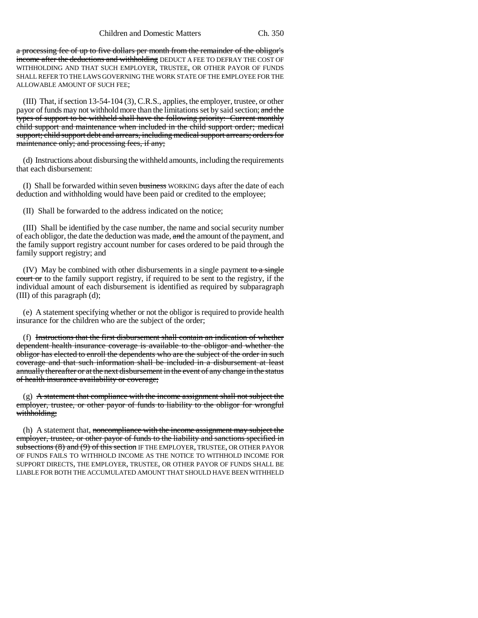a processing fee of up to five dollars per month from the remainder of the obligor's income after the deductions and withholding DEDUCT A FEE TO DEFRAY THE COST OF WITHHOLDING AND THAT SUCH EMPLOYER, TRUSTEE, OR OTHER PAYOR OF FUNDS SHALL REFER TO THE LAWS GOVERNING THE WORK STATE OF THE EMPLOYEE FOR THE ALLOWABLE AMOUNT OF SUCH FEE;

(III) That, if section 13-54-104 (3), C.R.S., applies, the employer, trustee, or other payor of funds may not withhold more than the limitations set by said section; and the types of support to be withheld shall have the following priority: Current monthly child support and maintenance when included in the child support order; medical support; child support debt and arrears, including medical support arrears; orders for maintenance only; and processing fees, if any;

(d) Instructions about disbursing the withheld amounts, including the requirements that each disbursement:

(I) Shall be forwarded within seven business WORKING days after the date of each deduction and withholding would have been paid or credited to the employee;

(II) Shall be forwarded to the address indicated on the notice;

(III) Shall be identified by the case number, the name and social security number of each obligor, the date the deduction was made, and the amount of the payment, and the family support registry account number for cases ordered to be paid through the family support registry; and

(IV) May be combined with other disbursements in a single payment to a single court or to the family support registry, if required to be sent to the registry, if the individual amount of each disbursement is identified as required by subparagraph (III) of this paragraph (d);

(e) A statement specifying whether or not the obligor is required to provide health insurance for the children who are the subject of the order;

(f) Instructions that the first disbursement shall contain an indication of whether dependent health insurance coverage is available to the obligor and whether the obligor has elected to enroll the dependents who are the subject of the order in such coverage and that such information shall be included in a disbursement at least annually thereafter or at the next disbursement in the event of any change in the status of health insurance availability or coverage;

 $(g)$  A statement that compliance with the income assignment shall not subject the employer, trustee, or other payor of funds to liability to the obligor for wrongful withholding;

(h) A statement that, noncompliance with the income assignment may subject the employer, trustee, or other payor of funds to the liability and sanctions specified in subsections (8) and (9) of this section IF THE EMPLOYER, TRUSTEE, OR OTHER PAYOR OF FUNDS FAILS TO WITHHOLD INCOME AS THE NOTICE TO WITHHOLD INCOME FOR SUPPORT DIRECTS, THE EMPLOYER, TRUSTEE, OR OTHER PAYOR OF FUNDS SHALL BE LIABLE FOR BOTH THE ACCUMULATED AMOUNT THAT SHOULD HAVE BEEN WITHHELD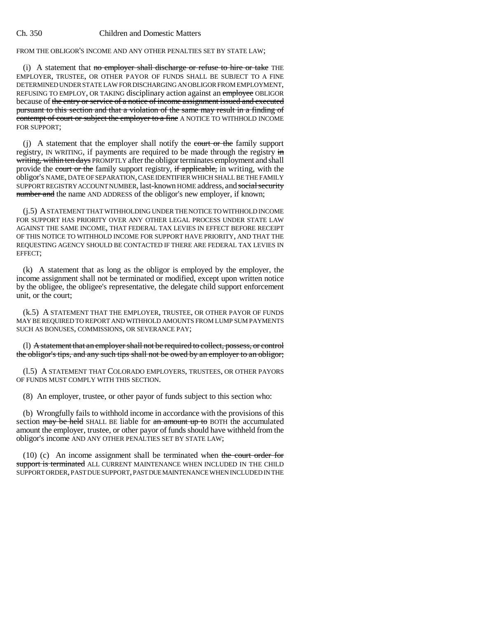FROM THE OBLIGOR'S INCOME AND ANY OTHER PENALTIES SET BY STATE LAW;

(i) A statement that no employer shall discharge or refuse to hire or take THE EMPLOYER, TRUSTEE, OR OTHER PAYOR OF FUNDS SHALL BE SUBJECT TO A FINE DETERMINED UNDER STATE LAW FOR DISCHARGING AN OBLIGOR FROM EMPLOYMENT, REFUSING TO EMPLOY, OR TAKING disciplinary action against an employee OBLIGOR because of the entry or service of a notice of income assignment issued and executed pursuant to this section and that a violation of the same may result in a finding of contempt of court or subject the employer to a fine A NOTICE TO WITHHOLD INCOME FOR SUPPORT;

 $(i)$  A statement that the employer shall notify the court or the family support registry, IN WRITING, if payments are required to be made through the registry in writing, within ten days PROMPTLY after the obligor terminates employment and shall provide the court or the family support registry, if applicable, in writing, with the obligor's NAME, DATE OF SEPARATION, CASE IDENTIFIER WHICH SHALL BE THE FAMILY SUPPORT REGISTRY ACCOUNT NUMBER, last-known HOME address, and social security number and the name AND ADDRESS of the obligor's new employer, if known;

(j.5) A STATEMENT THAT WITHHOLDING UNDER THE NOTICE TO WITHHOLD INCOME FOR SUPPORT HAS PRIORITY OVER ANY OTHER LEGAL PROCESS UNDER STATE LAW AGAINST THE SAME INCOME, THAT FEDERAL TAX LEVIES IN EFFECT BEFORE RECEIPT OF THIS NOTICE TO WITHHOLD INCOME FOR SUPPORT HAVE PRIORITY, AND THAT THE REQUESTING AGENCY SHOULD BE CONTACTED IF THERE ARE FEDERAL TAX LEVIES IN EFFECT;

(k) A statement that as long as the obligor is employed by the employer, the income assignment shall not be terminated or modified, except upon written notice by the obligee, the obligee's representative, the delegate child support enforcement unit, or the court;

(k.5) A STATEMENT THAT THE EMPLOYER, TRUSTEE, OR OTHER PAYOR OF FUNDS MAY BE REQUIRED TO REPORT AND WITHHOLD AMOUNTS FROM LUMP SUM PAYMENTS SUCH AS BONUSES, COMMISSIONS, OR SEVERANCE PAY;

(l) A statement that an employer shall not be required to collect, possess, or control the obligor's tips, and any such tips shall not be owed by an employer to an obligor;

(l.5) A STATEMENT THAT COLORADO EMPLOYERS, TRUSTEES, OR OTHER PAYORS OF FUNDS MUST COMPLY WITH THIS SECTION.

(8) An employer, trustee, or other payor of funds subject to this section who:

(b) Wrongfully fails to withhold income in accordance with the provisions of this section may be held SHALL BE liable for an amount up to BOTH the accumulated amount the employer, trustee, or other payor of funds should have withheld from the obligor's income AND ANY OTHER PENALTIES SET BY STATE LAW;

(10) (c) An income assignment shall be terminated when the court order for support is terminated ALL CURRENT MAINTENANCE WHEN INCLUDED IN THE CHILD SUPPORT ORDER, PAST DUE SUPPORT, PAST DUE MAINTENANCE WHEN INCLUDED IN THE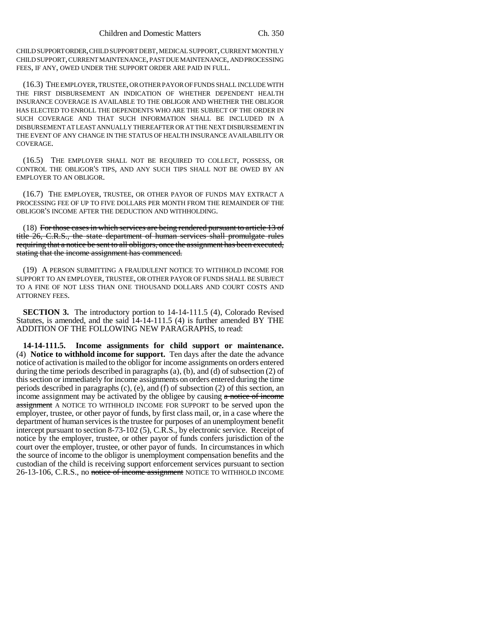CHILD SUPPORT ORDER, CHILD SUPPORT DEBT, MEDICAL SUPPORT, CURRENT MONTHLY CHILD SUPPORT, CURRENT MAINTENANCE, PAST DUE MAINTENANCE, AND PROCESSING FEES, IF ANY, OWED UNDER THE SUPPORT ORDER ARE PAID IN FULL.

(16.3) THE EMPLOYER, TRUSTEE, OR OTHER PAYOR OF FUNDS SHALL INCLUDE WITH THE FIRST DISBURSEMENT AN INDICATION OF WHETHER DEPENDENT HEALTH INSURANCE COVERAGE IS AVAILABLE TO THE OBLIGOR AND WHETHER THE OBLIGOR HAS ELECTED TO ENROLL THE DEPENDENTS WHO ARE THE SUBJECT OF THE ORDER IN SUCH COVERAGE AND THAT SUCH INFORMATION SHALL BE INCLUDED IN A DISBURSEMENT AT LEAST ANNUALLY THEREAFTER OR AT THE NEXT DISBURSEMENT IN THE EVENT OF ANY CHANGE IN THE STATUS OF HEALTH INSURANCE AVAILABILITY OR COVERAGE.

(16.5) THE EMPLOYER SHALL NOT BE REQUIRED TO COLLECT, POSSESS, OR CONTROL THE OBLIGOR'S TIPS, AND ANY SUCH TIPS SHALL NOT BE OWED BY AN EMPLOYER TO AN OBLIGOR.

(16.7) THE EMPLOYER, TRUSTEE, OR OTHER PAYOR OF FUNDS MAY EXTRACT A PROCESSING FEE OF UP TO FIVE DOLLARS PER MONTH FROM THE REMAINDER OF THE OBLIGOR'S INCOME AFTER THE DEDUCTION AND WITHHOLDING.

(18) For those cases in which services are being rendered pursuant to article 13 of title 26, C.R.S., the state department of human services shall promulgate rules requiring that a notice be sent to all obligors, once the assignment has been executed, stating that the income assignment has commenced.

(19) A PERSON SUBMITTING A FRAUDULENT NOTICE TO WITHHOLD INCOME FOR SUPPORT TO AN EMPLOYER, TRUSTEE, OR OTHER PAYOR OF FUNDS SHALL BE SUBJECT TO A FINE OF NOT LESS THAN ONE THOUSAND DOLLARS AND COURT COSTS AND ATTORNEY FEES.

**SECTION 3.** The introductory portion to 14-14-111.5 (4), Colorado Revised Statutes, is amended, and the said 14-14-111.5 (4) is further amended BY THE ADDITION OF THE FOLLOWING NEW PARAGRAPHS, to read:

**14-14-111.5. Income assignments for child support or maintenance.** (4) **Notice to withhold income for support.** Ten days after the date the advance notice of activation is mailed to the obligor for income assignments on orders entered during the time periods described in paragraphs (a), (b), and (d) of subsection (2) of this section or immediately for income assignments on orders entered during the time periods described in paragraphs (c), (e), and (f) of subsection (2) of this section, an income assignment may be activated by the obligee by causing a notice of income assignment A NOTICE TO WITHHOLD INCOME FOR SUPPORT to be served upon the employer, trustee, or other payor of funds, by first class mail, or, in a case where the department of human services is the trustee for purposes of an unemployment benefit intercept pursuant to section 8-73-102 (5), C.R.S., by electronic service. Receipt of notice by the employer, trustee, or other payor of funds confers jurisdiction of the court over the employer, trustee, or other payor of funds. In circumstances in which the source of income to the obligor is unemployment compensation benefits and the custodian of the child is receiving support enforcement services pursuant to section 26-13-106, C.R.S., no notice of income assignment NOTICE TO WITHHOLD INCOME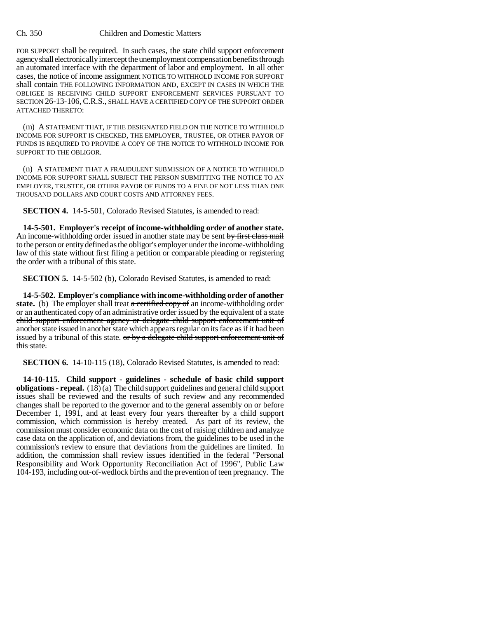FOR SUPPORT shall be required. In such cases, the state child support enforcement agency shall electronically intercept the unemployment compensation benefits through an automated interface with the department of labor and employment. In all other cases, the notice of income assignment NOTICE TO WITHHOLD INCOME FOR SUPPORT shall contain THE FOLLOWING INFORMATION AND, EXCEPT IN CASES IN WHICH THE OBLIGEE IS RECEIVING CHILD SUPPORT ENFORCEMENT SERVICES PURSUANT TO SECTION 26-13-106, C.R.S., SHALL HAVE A CERTIFIED COPY OF THE SUPPORT ORDER ATTACHED THERETO:

(m) A STATEMENT THAT, IF THE DESIGNATED FIELD ON THE NOTICE TO WITHHOLD INCOME FOR SUPPORT IS CHECKED, THE EMPLOYER, TRUSTEE, OR OTHER PAYOR OF FUNDS IS REQUIRED TO PROVIDE A COPY OF THE NOTICE TO WITHHOLD INCOME FOR SUPPORT TO THE OBLIGOR.

(n) A STATEMENT THAT A FRAUDULENT SUBMISSION OF A NOTICE TO WITHHOLD INCOME FOR SUPPORT SHALL SUBJECT THE PERSON SUBMITTING THE NOTICE TO AN EMPLOYER, TRUSTEE, OR OTHER PAYOR OF FUNDS TO A FINE OF NOT LESS THAN ONE THOUSAND DOLLARS AND COURT COSTS AND ATTORNEY FEES.

**SECTION 4.** 14-5-501, Colorado Revised Statutes, is amended to read:

**14-5-501. Employer's receipt of income-withholding order of another state.** An income-withholding order issued in another state may be sent by first class mail to the person or entity defined as the obligor's employer under the income-withholding law of this state without first filing a petition or comparable pleading or registering the order with a tribunal of this state.

**SECTION 5.** 14-5-502 (b), Colorado Revised Statutes, is amended to read:

**14-5-502. Employer's compliance with income-withholding order of another** state. (b) The employer shall treat a certified copy of an income-withholding order or an authenticated copy of an administrative order issued by the equivalent of a state child support enforcement agency or delegate child support enforcement unit of another state issued in another state which appears regular on its face as if it had been issued by a tribunal of this state.  $\sigma r$  by a delegate child support enforcement unit of this state.

**SECTION 6.** 14-10-115 (18), Colorado Revised Statutes, is amended to read:

**14-10-115. Child support - guidelines - schedule of basic child support obligations - repeal.** (18) (a) The child support guidelines and general child support issues shall be reviewed and the results of such review and any recommended changes shall be reported to the governor and to the general assembly on or before December 1, 1991, and at least every four years thereafter by a child support commission, which commission is hereby created. As part of its review, the commission must consider economic data on the cost of raising children and analyze case data on the application of, and deviations from, the guidelines to be used in the commission's review to ensure that deviations from the guidelines are limited. In addition, the commission shall review issues identified in the federal "Personal Responsibility and Work Opportunity Reconciliation Act of 1996", Public Law 104-193, including out-of-wedlock births and the prevention of teen pregnancy. The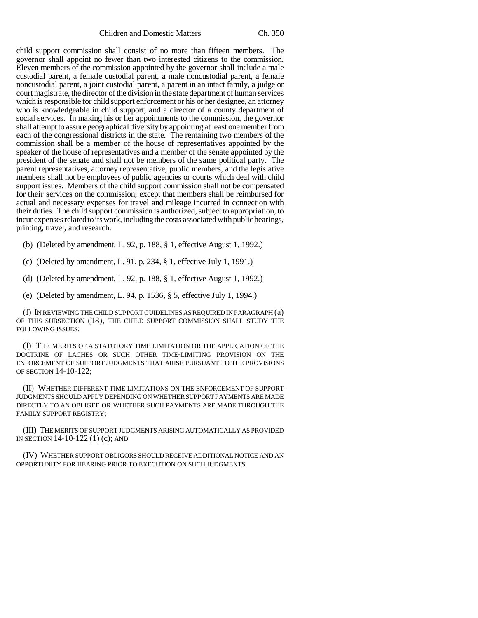Children and Domestic Matters Ch. 350

child support commission shall consist of no more than fifteen members. The governor shall appoint no fewer than two interested citizens to the commission. Eleven members of the commission appointed by the governor shall include a male custodial parent, a female custodial parent, a male noncustodial parent, a female noncustodial parent, a joint custodial parent, a parent in an intact family, a judge or court magistrate, the director of the division in the state department of human services which is responsible for child support enforcement or his or her designee, an attorney who is knowledgeable in child support, and a director of a county department of social services. In making his or her appointments to the commission, the governor shall attempt to assure geographical diversity by appointing at least one member from each of the congressional districts in the state. The remaining two members of the commission shall be a member of the house of representatives appointed by the speaker of the house of representatives and a member of the senate appointed by the president of the senate and shall not be members of the same political party. The parent representatives, attorney representative, public members, and the legislative members shall not be employees of public agencies or courts which deal with child support issues. Members of the child support commission shall not be compensated for their services on the commission; except that members shall be reimbursed for actual and necessary expenses for travel and mileage incurred in connection with their duties. The child support commission is authorized, subject to appropriation, to incur expenses related to its work, including the costs associated with public hearings, printing, travel, and research.

(b) (Deleted by amendment, L. 92, p. 188, § 1, effective August 1, 1992.)

(c) (Deleted by amendment, L. 91, p. 234, § 1, effective July 1, 1991.)

(d) (Deleted by amendment, L. 92, p. 188, § 1, effective August 1, 1992.)

(e) (Deleted by amendment, L. 94, p. 1536, § 5, effective July 1, 1994.)

(f) IN REVIEWING THE CHILD SUPPORT GUIDELINES AS REQUIRED IN PARAGRAPH (a) OF THIS SUBSECTION (18), THE CHILD SUPPORT COMMISSION SHALL STUDY THE FOLLOWING ISSUES:

(I) THE MERITS OF A STATUTORY TIME LIMITATION OR THE APPLICATION OF THE DOCTRINE OF LACHES OR SUCH OTHER TIME-LIMITING PROVISION ON THE ENFORCEMENT OF SUPPORT JUDGMENTS THAT ARISE PURSUANT TO THE PROVISIONS OF SECTION 14-10-122;

(II) WHETHER DIFFERENT TIME LIMITATIONS ON THE ENFORCEMENT OF SUPPORT JUDGMENTS SHOULD APPLY DEPENDING ON WHETHER SUPPORT PAYMENTS ARE MADE DIRECTLY TO AN OBLIGEE OR WHETHER SUCH PAYMENTS ARE MADE THROUGH THE FAMILY SUPPORT REGISTRY;

(III) THE MERITS OF SUPPORT JUDGMENTS ARISING AUTOMATICALLY AS PROVIDED IN SECTION 14-10-122 (1) (c); AND

(IV) WHETHER SUPPORT OBLIGORS SHOULD RECEIVE ADDITIONAL NOTICE AND AN OPPORTUNITY FOR HEARING PRIOR TO EXECUTION ON SUCH JUDGMENTS.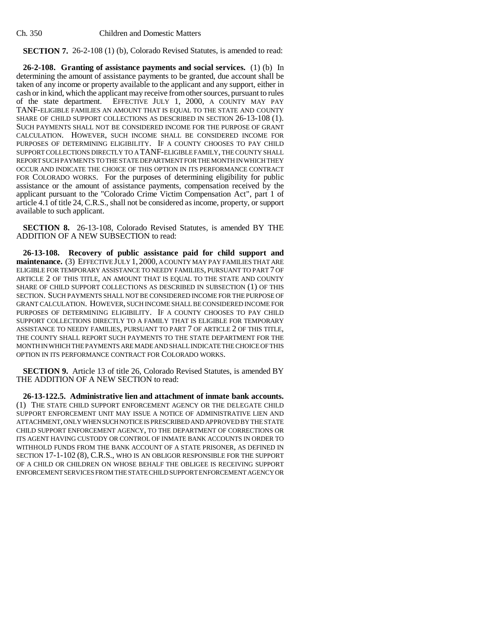**SECTION 7.** 26-2-108 (1) (b), Colorado Revised Statutes, is amended to read:

**26-2-108. Granting of assistance payments and social services.** (1) (b) In determining the amount of assistance payments to be granted, due account shall be taken of any income or property available to the applicant and any support, either in cash or in kind, which the applicant may receive from other sources, pursuant to rules of the state department. EFFECTIVE JULY 1, 2000, A COUNTY MAY PAY TANF-ELIGIBLE FAMILIES AN AMOUNT THAT IS EQUAL TO THE STATE AND COUNTY SHARE OF CHILD SUPPORT COLLECTIONS AS DESCRIBED IN SECTION 26-13-108 (1). SUCH PAYMENTS SHALL NOT BE CONSIDERED INCOME FOR THE PURPOSE OF GRANT CALCULATION. HOWEVER, SUCH INCOME SHALL BE CONSIDERED INCOME FOR PURPOSES OF DETERMINING ELIGIBILITY. IF A COUNTY CHOOSES TO PAY CHILD SUPPORT COLLECTIONS DIRECTLY TO A TANF-ELIGIBLE FAMILY, THE COUNTY SHALL REPORT SUCH PAYMENTS TO THE STATE DEPARTMENT FOR THE MONTH IN WHICH THEY OCCUR AND INDICATE THE CHOICE OF THIS OPTION IN ITS PERFORMANCE CONTRACT FOR COLORADO WORKS. For the purposes of determining eligibility for public assistance or the amount of assistance payments, compensation received by the applicant pursuant to the "Colorado Crime Victim Compensation Act", part 1 of article 4.1 of title 24, C.R.S., shall not be considered as income, property, or support available to such applicant.

**SECTION 8.** 26-13-108, Colorado Revised Statutes, is amended BY THE ADDITION OF A NEW SUBSECTION to read:

**26-13-108. Recovery of public assistance paid for child support and maintenance.** (3) EFFECTIVE JULY 1, 2000, A COUNTY MAY PAY FAMILIES THAT ARE ELIGIBLE FOR TEMPORARY ASSISTANCE TO NEEDY FAMILIES, PURSUANT TO PART 7 OF ARTICLE 2 OF THIS TITLE, AN AMOUNT THAT IS EQUAL TO THE STATE AND COUNTY SHARE OF CHILD SUPPORT COLLECTIONS AS DESCRIBED IN SUBSECTION (1) OF THIS SECTION. SUCH PAYMENTS SHALL NOT BE CONSIDERED INCOME FOR THE PURPOSE OF GRANT CALCULATION. HOWEVER, SUCH INCOME SHALL BE CONSIDERED INCOME FOR PURPOSES OF DETERMINING ELIGIBILITY. IF A COUNTY CHOOSES TO PAY CHILD SUPPORT COLLECTIONS DIRECTLY TO A FAMILY THAT IS ELIGIBLE FOR TEMPORARY ASSISTANCE TO NEEDY FAMILIES, PURSUANT TO PART 7 OF ARTICLE 2 OF THIS TITLE, THE COUNTY SHALL REPORT SUCH PAYMENTS TO THE STATE DEPARTMENT FOR THE MONTH IN WHICH THE PAYMENTS ARE MADE AND SHALL INDICATE THE CHOICE OF THIS OPTION IN ITS PERFORMANCE CONTRACT FOR COLORADO WORKS.

**SECTION 9.** Article 13 of title 26, Colorado Revised Statutes, is amended BY THE ADDITION OF A NEW SECTION to read:

**26-13-122.5. Administrative lien and attachment of inmate bank accounts.** (1) THE STATE CHILD SUPPORT ENFORCEMENT AGENCY OR THE DELEGATE CHILD SUPPORT ENFORCEMENT UNIT MAY ISSUE A NOTICE OF ADMINISTRATIVE LIEN AND ATTACHMENT, ONLY WHEN SUCH NOTICE IS PRESCRIBED AND APPROVED BY THE STATE CHILD SUPPORT ENFORCEMENT AGENCY, TO THE DEPARTMENT OF CORRECTIONS OR ITS AGENT HAVING CUSTODY OR CONTROL OF INMATE BANK ACCOUNTS IN ORDER TO WITHHOLD FUNDS FROM THE BANK ACCOUNT OF A STATE PRISONER, AS DEFINED IN SECTION 17-1-102 (8), C.R.S., WHO IS AN OBLIGOR RESPONSIBLE FOR THE SUPPORT OF A CHILD OR CHILDREN ON WHOSE BEHALF THE OBLIGEE IS RECEIVING SUPPORT ENFORCEMENT SERVICES FROM THE STATE CHILD SUPPORT ENFORCEMENT AGENCY OR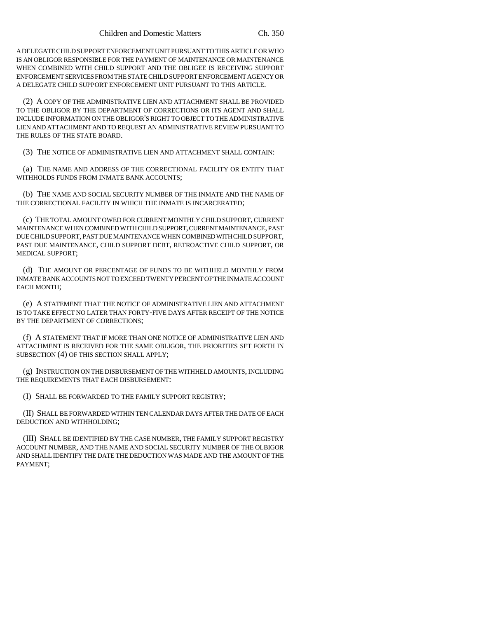A DELEGATE CHILD SUPPORT ENFORCEMENT UNIT PURSUANT TO THIS ARTICLE OR WHO IS AN OBLIGOR RESPONSIBLE FOR THE PAYMENT OF MAINTENANCE OR MAINTENANCE WHEN COMBINED WITH CHILD SUPPORT AND THE OBLIGEE IS RECEIVING SUPPORT ENFORCEMENT SERVICES FROM THE STATE CHILD SUPPORT ENFORCEMENT AGENCY OR A DELEGATE CHILD SUPPORT ENFORCEMENT UNIT PURSUANT TO THIS ARTICLE.

(2) A COPY OF THE ADMINISTRATIVE LIEN AND ATTACHMENT SHALL BE PROVIDED TO THE OBLIGOR BY THE DEPARTMENT OF CORRECTIONS OR ITS AGENT AND SHALL INCLUDE INFORMATION ON THE OBLIGOR'S RIGHT TO OBJECT TO THE ADMINISTRATIVE LIEN AND ATTACHMENT AND TO REQUEST AN ADMINISTRATIVE REVIEW PURSUANT TO THE RULES OF THE STATE BOARD.

(3) THE NOTICE OF ADMINISTRATIVE LIEN AND ATTACHMENT SHALL CONTAIN:

(a) THE NAME AND ADDRESS OF THE CORRECTIONAL FACILITY OR ENTITY THAT WITHHOLDS FUNDS FROM INMATE BANK ACCOUNTS;

(b) THE NAME AND SOCIAL SECURITY NUMBER OF THE INMATE AND THE NAME OF THE CORRECTIONAL FACILITY IN WHICH THE INMATE IS INCARCERATED;

(c) THE TOTAL AMOUNT OWED FOR CURRENT MONTHLY CHILD SUPPORT, CURRENT MAINTENANCE WHEN COMBINED WITH CHILD SUPPORT, CURRENT MAINTENANCE, PAST DUE CHILD SUPPORT, PAST DUE MAINTENANCE WHEN COMBINED WITH CHILD SUPPORT, PAST DUE MAINTENANCE, CHILD SUPPORT DEBT, RETROACTIVE CHILD SUPPORT, OR MEDICAL SUPPORT;

(d) THE AMOUNT OR PERCENTAGE OF FUNDS TO BE WITHHELD MONTHLY FROM INMATE BANK ACCOUNTS NOT TO EXCEED TWENTY PERCENT OF THE INMATE ACCOUNT EACH MONTH;

(e) A STATEMENT THAT THE NOTICE OF ADMINISTRATIVE LIEN AND ATTACHMENT IS TO TAKE EFFECT NO LATER THAN FORTY-FIVE DAYS AFTER RECEIPT OF THE NOTICE BY THE DEPARTMENT OF CORRECTIONS;

(f) A STATEMENT THAT IF MORE THAN ONE NOTICE OF ADMINISTRATIVE LIEN AND ATTACHMENT IS RECEIVED FOR THE SAME OBLIGOR, THE PRIORITIES SET FORTH IN SUBSECTION (4) OF THIS SECTION SHALL APPLY;

(g) INSTRUCTION ON THE DISBURSEMENT OF THE WITHHELD AMOUNTS, INCLUDING THE REQUIREMENTS THAT EACH DISBURSEMENT:

(I) SHALL BE FORWARDED TO THE FAMILY SUPPORT REGISTRY;

(II) SHALL BE FORWARDED WITHIN TEN CALENDAR DAYS AFTER THE DATE OF EACH DEDUCTION AND WITHHOLDING;

(III) SHALL BE IDENTIFIED BY THE CASE NUMBER, THE FAMILY SUPPORT REGISTRY ACCOUNT NUMBER, AND THE NAME AND SOCIAL SECURITY NUMBER OF THE OLBIGOR AND SHALL IDENTIFY THE DATE THE DEDUCTION WAS MADE AND THE AMOUNT OF THE PAYMENT;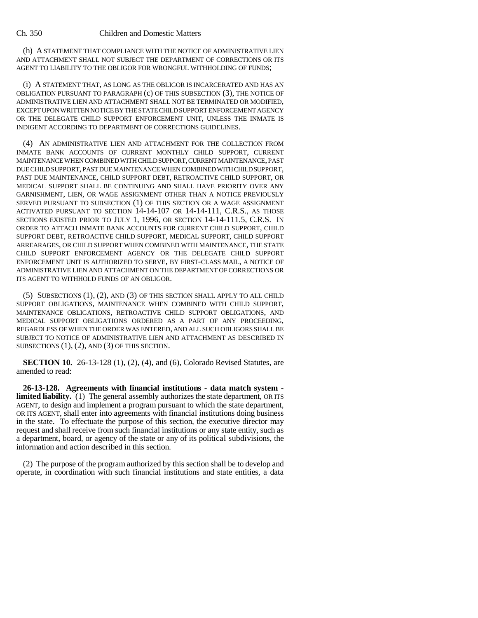(h) A STATEMENT THAT COMPLIANCE WITH THE NOTICE OF ADMINISTRATIVE LIEN AND ATTACHMENT SHALL NOT SUBJECT THE DEPARTMENT OF CORRECTIONS OR ITS AGENT TO LIABILITY TO THE OBLIGOR FOR WRONGFUL WITHHOLDING OF FUNDS;

(i) A STATEMENT THAT, AS LONG AS THE OBLIGOR IS INCARCERATED AND HAS AN OBLIGATION PURSUANT TO PARAGRAPH (c) OF THIS SUBSECTION (3), THE NOTICE OF ADMINISTRATIVE LIEN AND ATTACHMENT SHALL NOT BE TERMINATED OR MODIFIED, EXCEPT UPON WRITTEN NOTICE BY THE STATE CHILD SUPPORT ENFORCEMENT AGENCY OR THE DELEGATE CHILD SUPPORT ENFORCEMENT UNIT, UNLESS THE INMATE IS INDIGENT ACCORDING TO DEPARTMENT OF CORRECTIONS GUIDELINES.

(4) AN ADMINISTRATIVE LIEN AND ATTACHMENT FOR THE COLLECTION FROM INMATE BANK ACCOUNTS OF CURRENT MONTHLY CHILD SUPPORT, CURRENT MAINTENANCE WHEN COMBINED WITH CHILD SUPPORT, CURRENT MAINTENANCE, PAST DUE CHILD SUPPORT, PAST DUE MAINTENANCE WHEN COMBINED WITH CHILD SUPPORT, PAST DUE MAINTENANCE, CHILD SUPPORT DEBT, RETROACTIVE CHILD SUPPORT, OR MEDICAL SUPPORT SHALL BE CONTINUING AND SHALL HAVE PRIORITY OVER ANY GARNISHMENT, LIEN, OR WAGE ASSIGNMENT OTHER THAN A NOTICE PREVIOUSLY SERVED PURSUANT TO SUBSECTION (1) OF THIS SECTION OR A WAGE ASSIGNMENT ACTIVATED PURSUANT TO SECTION 14-14-107 OR 14-14-111, C.R.S., AS THOSE SECTIONS EXISTED PRIOR TO JULY 1, 1996, OR SECTION 14-14-111.5, C.R.S. IN ORDER TO ATTACH INMATE BANK ACCOUNTS FOR CURRENT CHILD SUPPORT, CHILD SUPPORT DEBT, RETROACTIVE CHILD SUPPORT, MEDICAL SUPPORT, CHILD SUPPORT ARREARAGES, OR CHILD SUPPORT WHEN COMBINED WITH MAINTENANCE, THE STATE CHILD SUPPORT ENFORCEMENT AGENCY OR THE DELEGATE CHILD SUPPORT ENFORCEMENT UNIT IS AUTHORIZED TO SERVE, BY FIRST-CLASS MAIL, A NOTICE OF ADMINISTRATIVE LIEN AND ATTACHMENT ON THE DEPARTMENT OF CORRECTIONS OR ITS AGENT TO WITHHOLD FUNDS OF AN OBLIGOR.

(5) SUBSECTIONS (1), (2), AND (3) OF THIS SECTION SHALL APPLY TO ALL CHILD SUPPORT OBLIGATIONS, MAINTENANCE WHEN COMBINED WITH CHILD SUPPORT, MAINTENANCE OBLIGATIONS, RETROACTIVE CHILD SUPPORT OBLIGATIONS, AND MEDICAL SUPPORT OBLIGATIONS ORDERED AS A PART OF ANY PROCEEDING, REGARDLESS OF WHEN THE ORDER WAS ENTERED, AND ALL SUCH OBLIGORS SHALL BE SUBJECT TO NOTICE OF ADMINISTRATIVE LIEN AND ATTACHMENT AS DESCRIBED IN SUBSECTIONS  $(1)$ ,  $(2)$ , AND  $(3)$  OF THIS SECTION.

**SECTION 10.** 26-13-128 (1), (2), (4), and (6), Colorado Revised Statutes, are amended to read:

**26-13-128. Agreements with financial institutions - data match system limited liability.** (1) The general assembly authorizes the state department, OR ITS AGENT, to design and implement a program pursuant to which the state department, OR ITS AGENT, shall enter into agreements with financial institutions doing business in the state. To effectuate the purpose of this section, the executive director may request and shall receive from such financial institutions or any state entity, such as a department, board, or agency of the state or any of its political subdivisions, the information and action described in this section.

(2) The purpose of the program authorized by this section shall be to develop and operate, in coordination with such financial institutions and state entities, a data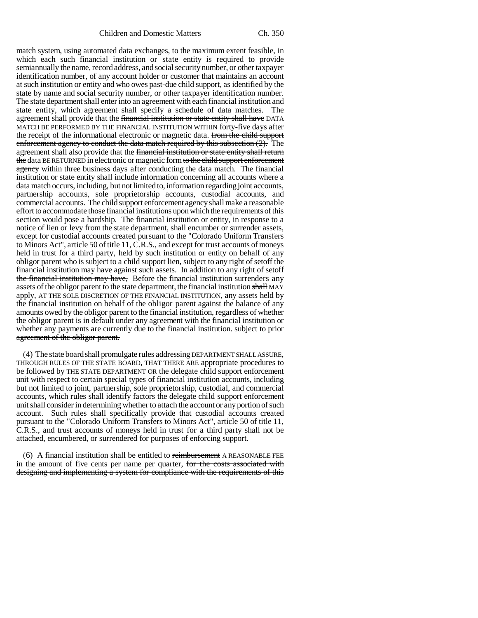match system, using automated data exchanges, to the maximum extent feasible, in which each such financial institution or state entity is required to provide semiannually the name, record address, and social security number, or other taxpayer identification number, of any account holder or customer that maintains an account at such institution or entity and who owes past-due child support, as identified by the state by name and social security number, or other taxpayer identification number. The state department shall enter into an agreement with each financial institution and state entity, which agreement shall specify a schedule of data matches. The agreement shall provide that the financial institution or state entity shall have DATA MATCH BE PERFORMED BY THE FINANCIAL INSTITUTION WITHIN forty-five days after the receipt of the informational electronic or magnetic data. from the child support enforcement agency to conduct the data match required by this subsection  $(2)$ . The agreement shall also provide that the financial institution or state entity shall return the data BE RETURNED in electronic or magnetic form to the child support enforcement agency within three business days after conducting the data match. The financial institution or state entity shall include information concerning all accounts where a data match occurs, including, but not limited to, information regarding joint accounts, partnership accounts, sole proprietorship accounts, custodial accounts, and commercial accounts. The child support enforcement agency shall make a reasonable effort to accommodate those financial institutions upon which the requirements of this section would pose a hardship. The financial institution or entity, in response to a notice of lien or levy from the state department, shall encumber or surrender assets, except for custodial accounts created pursuant to the "Colorado Uniform Transfers to Minors Act", article 50 of title 11, C.R.S., and except for trust accounts of moneys held in trust for a third party, held by such institution or entity on behalf of any obligor parent who is subject to a child support lien, subject to any right of setoff the financial institution may have against such assets. In addition to any right of setoff the financial institution may have, Before the financial institution surrenders any assets of the obligor parent to the state department, the financial institution shall MAY apply, AT THE SOLE DISCRETION OF THE FINANCIAL INSTITUTION, any assets held by the financial institution on behalf of the obligor parent against the balance of any amounts owed by the obligor parent to the financial institution, regardless of whether the obligor parent is in default under any agreement with the financial institution or whether any payments are currently due to the financial institution. subject to prior agreement of the obligor parent.

(4) The state **board shall promulgate rules addressing** DEPARTMENT SHALL ASSURE, THROUGH RULES OF THE STATE BOARD, THAT THERE ARE appropriate procedures to be followed by THE STATE DEPARTMENT OR the delegate child support enforcement unit with respect to certain special types of financial institution accounts, including but not limited to joint, partnership, sole proprietorship, custodial, and commercial accounts, which rules shall identify factors the delegate child support enforcement unit shall consider in determining whether to attach the account or any portion of such account. Such rules shall specifically provide that custodial accounts created pursuant to the "Colorado Uniform Transfers to Minors Act", article 50 of title 11, C.R.S., and trust accounts of moneys held in trust for a third party shall not be attached, encumbered, or surrendered for purposes of enforcing support.

(6) A financial institution shall be entitled to reimbursement A REASONABLE FEE in the amount of five cents per name per quarter, for the costs associated with designing and implementing a system for compliance with the requirements of this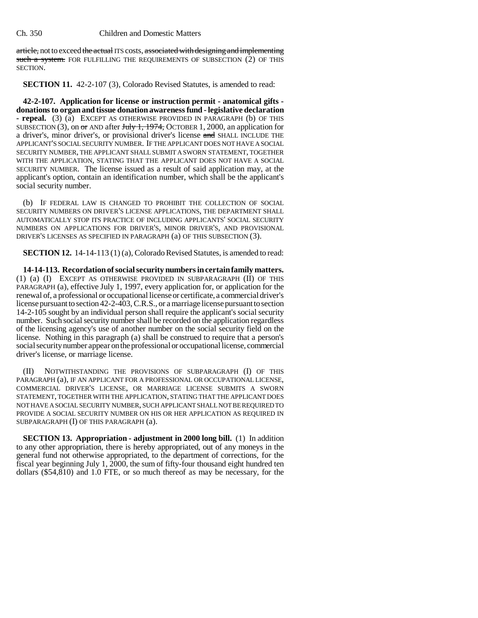article, not to exceed the actual ITS costs, associated with designing and implementing such a system. FOR FULFILLING THE REQUIREMENTS OF SUBSECTION (2) OF THIS SECTION.

**SECTION 11.** 42-2-107 (3), Colorado Revised Statutes, is amended to read:

**42-2-107. Application for license or instruction permit - anatomical gifts donations to organ and tissue donation awareness fund - legislative declaration - repeal.** (3) (a) EXCEPT AS OTHERWISE PROVIDED IN PARAGRAPH (b) OF THIS SUBSECTION (3), on  $\sigma$  and after July 1, 1974, OCTOBER 1, 2000, an application for a driver's, minor driver's, or provisional driver's license and SHALL INCLUDE THE APPLICANT'S SOCIAL SECURITY NUMBER. IF THE APPLICANT DOES NOT HAVE A SOCIAL SECURITY NUMBER, THE APPLICANT SHALL SUBMIT A SWORN STATEMENT, TOGETHER WITH THE APPLICATION, STATING THAT THE APPLICANT DOES NOT HAVE A SOCIAL SECURITY NUMBER. The license issued as a result of said application may, at the applicant's option, contain an identification number, which shall be the applicant's social security number.

(b) IF FEDERAL LAW IS CHANGED TO PROHIBIT THE COLLECTION OF SOCIAL SECURITY NUMBERS ON DRIVER'S LICENSE APPLICATIONS, THE DEPARTMENT SHALL AUTOMATICALLY STOP ITS PRACTICE OF INCLUDING APPLICANTS' SOCIAL SECURITY NUMBERS ON APPLICATIONS FOR DRIVER'S, MINOR DRIVER'S, AND PROVISIONAL DRIVER'S LICENSES AS SPECIFIED IN PARAGRAPH (a) OF THIS SUBSECTION (3).

**SECTION 12.** 14-14-113 (1) (a), Colorado Revised Statutes, is amended to read:

**14-14-113. Recordation of social security numbers in certain family matters.** (1) (a) (I) EXCEPT AS OTHERWISE PROVIDED IN SUBPARAGRAPH (II) OF THIS PARAGRAPH (a), effective July 1, 1997, every application for, or application for the renewal of, a professional or occupational license or certificate, a commercial driver's license pursuant to section 42-2-403, C.R.S., or a marriage license pursuant to section 14-2-105 sought by an individual person shall require the applicant's social security number. Such social security number shall be recorded on the application regardless of the licensing agency's use of another number on the social security field on the license. Nothing in this paragraph (a) shall be construed to require that a person's social security number appear on the professional or occupational license, commercial driver's license, or marriage license.

(II) NOTWITHSTANDING THE PROVISIONS OF SUBPARAGRAPH (I) OF THIS PARAGRAPH (a), IF AN APPLICANT FOR A PROFESSIONAL OR OCCUPATIONAL LICENSE, COMMERCIAL DRIVER'S LICENSE, OR MARRIAGE LICENSE SUBMITS A SWORN STATEMENT, TOGETHER WITH THE APPLICATION, STATING THAT THE APPLICANT DOES NOT HAVE A SOCIAL SECURITY NUMBER, SUCH APPLICANT SHALL NOT BE REQUIRED TO PROVIDE A SOCIAL SECURITY NUMBER ON HIS OR HER APPLICATION AS REQUIRED IN SUBPARAGRAPH (I) OF THIS PARAGRAPH (a).

**SECTION 13. Appropriation - adjustment in 2000 long bill.** (1) In addition to any other appropriation, there is hereby appropriated, out of any moneys in the general fund not otherwise appropriated, to the department of corrections, for the fiscal year beginning July 1, 2000, the sum of fifty-four thousand eight hundred ten dollars (\$54,810) and 1.0 FTE, or so much thereof as may be necessary, for the